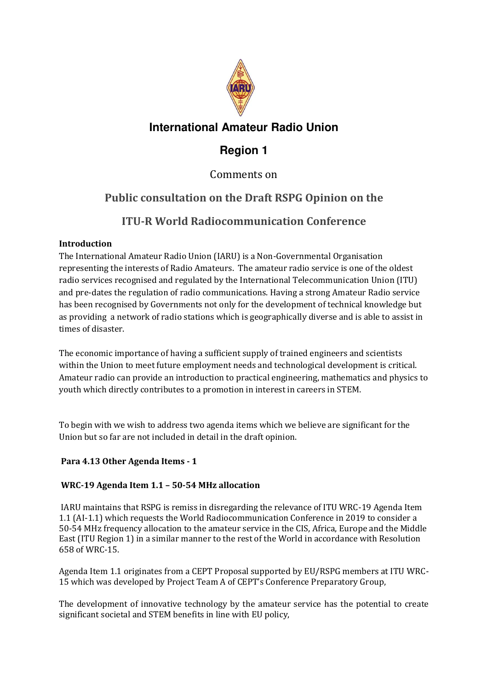

# **International Amateur Radio Union**

# **Region 1**

## Comments on

# **Public consultation on the Draft RSPG Opinion on the**

## **ITU-R World Radiocommunication Conference**

## **Introduction**

The International Amateur Radio Union (IARU) is a Non-Governmental Organisation representing the interests of Radio Amateurs. The amateur radio service is one of the oldest radio services recognised and regulated by the International Telecommunication Union (ITU) and pre-dates the regulation of radio communications. Having a strong Amateur Radio service has been recognised by Governments not only for the development of technical knowledge but as providing a network of radio stations which is geographically diverse and is able to assist in times of disaster.

The economic importance of having a sufficient supply of trained engineers and scientists within the Union to meet future employment needs and technological development is critical. Amateur radio can provide an introduction to practical engineering, mathematics and physics to youth which directly contributes to a promotion in interest in careers in STEM.

To begin with we wish to address two agenda items which we believe are significant for the Union but so far are not included in detail in the draft opinion.

## **Para 4.13 Other Agenda Items - 1**

## **WRC-19 Agenda Item 1.1 – 50-54 MHz allocation**

 IARU maintains that RSPG is remiss in disregarding the relevance of ITU WRC-19 Agenda Item 1.1 (AI-1.1) which requests the World Radiocommunication Conference in 2019 to consider a 50-54 MHz frequency allocation to the amateur service in the CIS, Africa, Europe and the Middle East (ITU Region 1) in a similar manner to the rest of the World in accordance with Resolution 658 of WRC-15.

Agenda Item 1.1 originates from a CEPT Proposal supported by EU/RSPG members at ITU WRC-15 which was developed by Project Team A of CEPT's Conference Preparatory Group,

The development of innovative technology by the amateur service has the potential to create significant societal and STEM benefits in line with EU policy,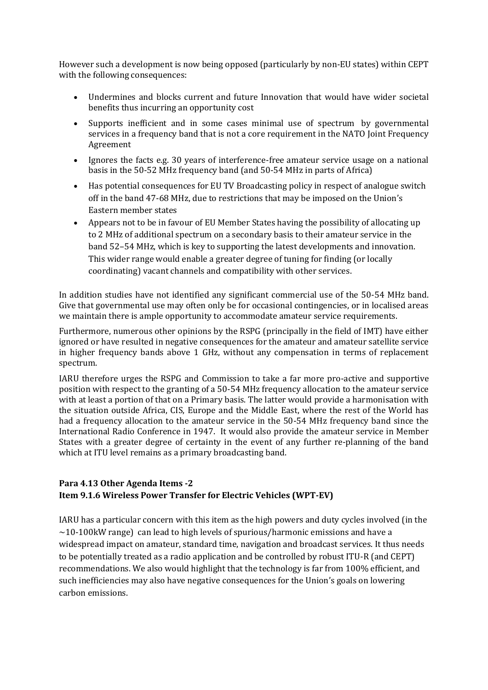However such a development is now being opposed (particularly by non-EU states) within CEPT with the following consequences:

- Undermines and blocks current and future Innovation that would have wider societal benefits thus incurring an opportunity cost
- Supports inefficient and in some cases minimal use of spectrum by governmental services in a frequency band that is not a core requirement in the NATO Joint Frequency Agreement
- Ignores the facts e.g. 30 years of interference-free amateur service usage on a national basis in the 50-52 MHz frequency band (and 50-54 MHz in parts of Africa)
- Has potential consequences for EU TV Broadcasting policy in respect of analogue switch off in the band 47-68 MHz, due to restrictions that may be imposed on the Union's Eastern member states
- Appears not to be in favour of EU Member States having the possibility of allocating up to 2 MHz of additional spectrum on a secondary basis to their amateur service in the band 52–54 MHz, which is key to supporting the latest developments and innovation. This wider range would enable a greater degree of tuning for finding (or locally coordinating) vacant channels and compatibility with other services.

In addition studies have not identified any significant commercial use of the 50-54 MHz band. Give that governmental use may often only be for occasional contingencies, or in localised areas we maintain there is ample opportunity to accommodate amateur service requirements.

Furthermore, numerous other opinions by the RSPG (principally in the field of IMT) have either ignored or have resulted in negative consequences for the amateur and amateur satellite service in higher frequency bands above 1 GHz, without any compensation in terms of replacement spectrum.

IARU therefore urges the RSPG and Commission to take a far more pro-active and supportive position with respect to the granting of a 50-54 MHz frequency allocation to the amateur service with at least a portion of that on a Primary basis. The latter would provide a harmonisation with the situation outside Africa, CIS, Europe and the Middle East, where the rest of the World has had a frequency allocation to the amateur service in the 50-54 MHz frequency band since the International Radio Conference in 1947. It would also provide the amateur service in Member States with a greater degree of certainty in the event of any further re-planning of the band which at ITU level remains as a primary broadcasting band.

#### **Para 4.13 Other Agenda Items -2 Item 9.1.6 Wireless Power Transfer for Electric Vehicles (WPT-EV)**

IARU has a particular concern with this item as the high powers and duty cycles involved (in the  $\sim$ 10-100kW range) can lead to high levels of spurious/harmonic emissions and have a widespread impact on amateur, standard time, navigation and broadcast services. It thus needs to be potentially treated as a radio application and be controlled by robust ITU-R (and CEPT) recommendations. We also would highlight that the technology is far from 100% efficient, and such inefficiencies may also have negative consequences for the Union's goals on lowering carbon emissions.